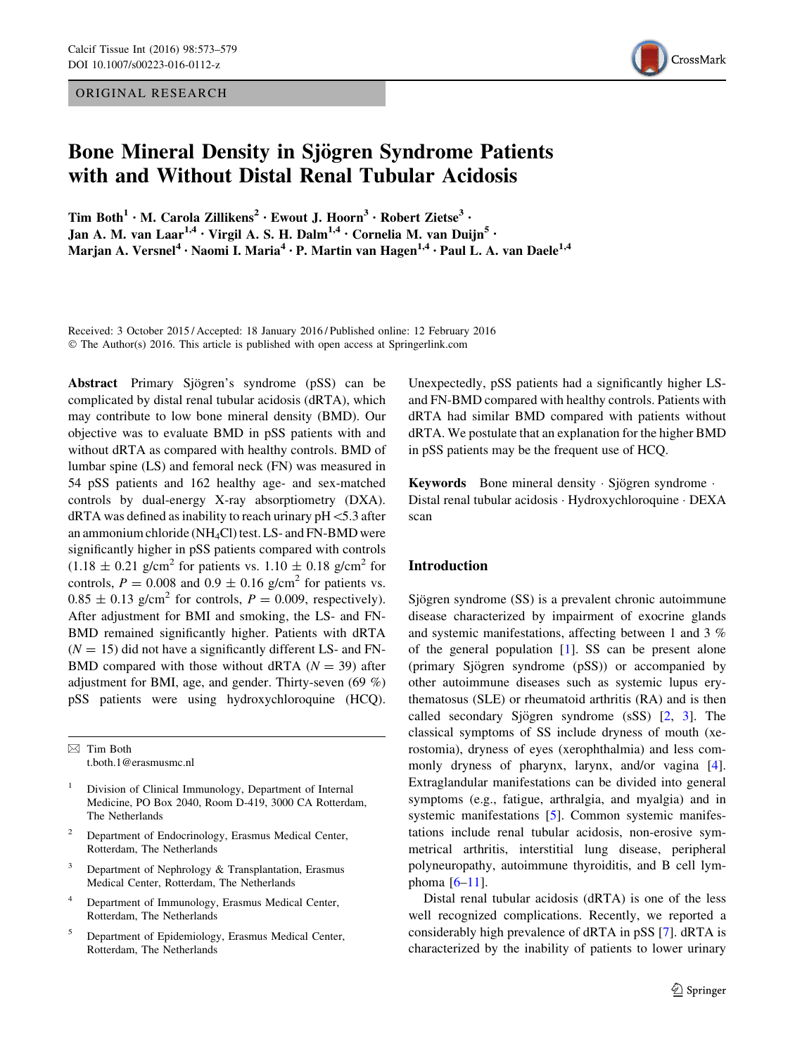ORIGINAL RESEARCH



# Bone Mineral Density in Sjögren Syndrome Patients with and Without Distal Renal Tubular Acidosis

Tim Both<sup>1</sup> • M. Carola Zillikens<sup>2</sup> • Ewout J. Hoorn<sup>3</sup> • Robert Zietse<sup>3</sup> • Jan A. M. van Laar<sup>1,4</sup> · Virgil A. S. H. Dalm<sup>1,4</sup> · Cornelia M. van Duijn<sup>5</sup> · Marjan A. Versnel<sup>4</sup> • Naomi I. Maria<sup>4</sup> • P. Martin van Hagen<sup>1,4</sup> • Paul L. A. van Daele<sup>1,4</sup>

Received: 3 October 2015 / Accepted: 18 January 2016 / Published online: 12 February 2016 © The Author(s) 2016. This article is published with open access at Springerlink.com

Abstract Primary Sjögren's syndrome (pSS) can be complicated by distal renal tubular acidosis (dRTA), which may contribute to low bone mineral density (BMD). Our objective was to evaluate BMD in pSS patients with and without dRTA as compared with healthy controls. BMD of lumbar spine (LS) and femoral neck (FN) was measured in 54 pSS patients and 162 healthy age- and sex-matched controls by dual-energy X-ray absorptiometry (DXA).  $dRTA$  was defined as inability to reach urinary  $pH \leq 5.3$  after an ammonium chloride ( $NH<sub>4</sub>Cl$ ) test. LS- and FN-BMD were significantly higher in pSS patients compared with controls  $(1.18 \pm 0.21 \text{ g/cm}^2 \text{ for patients vs. } 1.10 \pm 0.18 \text{ g/cm}^2 \text{ for}$ controls,  $P = 0.008$  and  $0.9 \pm 0.16$  g/cm<sup>2</sup> for patients vs.  $0.85 \pm 0.13$  g/cm<sup>2</sup> for controls,  $P = 0.009$ , respectively). After adjustment for BMI and smoking, the LS- and FN-BMD remained significantly higher. Patients with dRTA  $(N = 15)$  did not have a significantly different LS- and FN-BMD compared with those without dRTA  $(N = 39)$  after adjustment for BMI, age, and gender. Thirty-seven (69 %) pSS patients were using hydroxychloroquine (HCQ).

 $\boxtimes$  Tim Both t.both.1@erasmusmc.nl

- <sup>1</sup> Division of Clinical Immunology, Department of Internal Medicine, PO Box 2040, Room D-419, 3000 CA Rotterdam, The Netherlands
- <sup>2</sup> Department of Endocrinology, Erasmus Medical Center, Rotterdam, The Netherlands
- Department of Nephrology & Transplantation, Erasmus Medical Center, Rotterdam, The Netherlands
- <sup>4</sup> Department of Immunology, Erasmus Medical Center, Rotterdam, The Netherlands
- <sup>5</sup> Department of Epidemiology, Erasmus Medical Center, Rotterdam, The Netherlands

Unexpectedly, pSS patients had a significantly higher LSand FN-BMD compared with healthy controls. Patients with dRTA had similar BMD compared with patients without dRTA. We postulate that an explanation for the higher BMD in pSS patients may be the frequent use of HCQ.

Keywords Bone mineral density · Sjögren syndrome · Distal renal tubular acidosis - Hydroxychloroquine - DEXA scan

### Introduction

Sjögren syndrome (SS) is a prevalent chronic autoimmune disease characterized by impairment of exocrine glands and systemic manifestations, affecting between 1 and 3 % of the general population [[1\]](#page-5-0). SS can be present alone (primary Sjögren syndrome  $(pSS)$ ) or accompanied by other autoimmune diseases such as systemic lupus erythematosus (SLE) or rheumatoid arthritis (RA) and is then called secondary Sjögren syndrome (sSS)  $[2, 3]$  $[2, 3]$  $[2, 3]$  $[2, 3]$ . The classical symptoms of SS include dryness of mouth (xerostomia), dryness of eyes (xerophthalmia) and less commonly dryness of pharynx, larynx, and/or vagina [\[4](#page-5-0)]. Extraglandular manifestations can be divided into general symptoms (e.g., fatigue, arthralgia, and myalgia) and in systemic manifestations [\[5](#page-5-0)]. Common systemic manifestations include renal tubular acidosis, non-erosive symmetrical arthritis, interstitial lung disease, peripheral polyneuropathy, autoimmune thyroiditis, and B cell lymphoma  $[6-11]$ .

Distal renal tubular acidosis (dRTA) is one of the less well recognized complications. Recently, we reported a considerably high prevalence of dRTA in pSS [[7\]](#page-5-0). dRTA is characterized by the inability of patients to lower urinary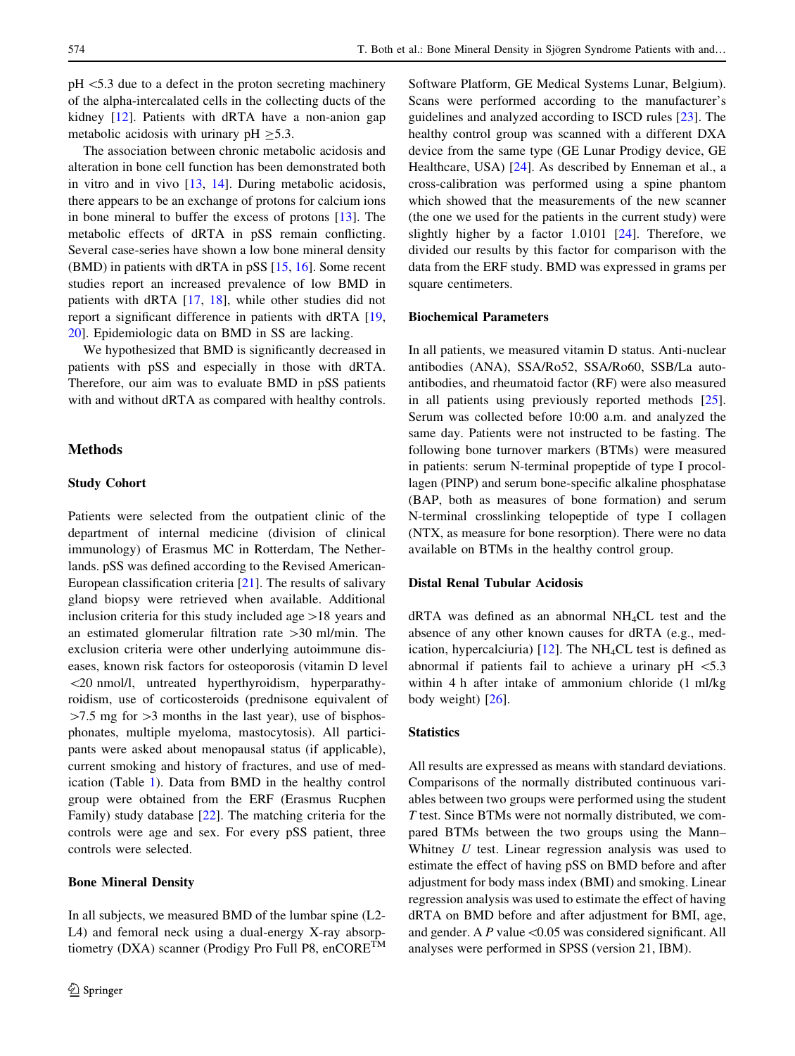$pH < 5.3$  due to a defect in the proton secreting machinery of the alpha-intercalated cells in the collecting ducts of the kidney [\[12](#page-5-0)]. Patients with dRTA have a non-anion gap metabolic acidosis with urinary  $pH > 5.3$ .

The association between chronic metabolic acidosis and alteration in bone cell function has been demonstrated both in vitro and in vivo [[13,](#page-5-0) [14](#page-5-0)]. During metabolic acidosis, there appears to be an exchange of protons for calcium ions in bone mineral to buffer the excess of protons [\[13](#page-5-0)]. The metabolic effects of dRTA in pSS remain conflicting. Several case-series have shown a low bone mineral density (BMD) in patients with dRTA in pSS [\[15](#page-5-0), [16](#page-5-0)]. Some recent studies report an increased prevalence of low BMD in patients with dRTA [\[17](#page-5-0), [18\]](#page-5-0), while other studies did not report a significant difference in patients with dRTA [[19,](#page-5-0) [20\]](#page-5-0). Epidemiologic data on BMD in SS are lacking.

We hypothesized that BMD is significantly decreased in patients with pSS and especially in those with dRTA. Therefore, our aim was to evaluate BMD in pSS patients with and without dRTA as compared with healthy controls.

# Methods

### Study Cohort

Patients were selected from the outpatient clinic of the department of internal medicine (division of clinical immunology) of Erasmus MC in Rotterdam, The Netherlands. pSS was defined according to the Revised American-European classification criteria [\[21](#page-5-0)]. The results of salivary gland biopsy were retrieved when available. Additional inclusion criteria for this study included age  $>18$  years and an estimated glomerular filtration rate  $>30$  ml/min. The exclusion criteria were other underlying autoimmune diseases, known risk factors for osteoporosis (vitamin D level \20 nmol/l, untreated hyperthyroidism, hyperparathyroidism, use of corticosteroids (prednisone equivalent of  $>7.5$  mg for  $>3$  months in the last year), use of bisphosphonates, multiple myeloma, mastocytosis). All participants were asked about menopausal status (if applicable), current smoking and history of fractures, and use of medication (Table [1\)](#page-2-0). Data from BMD in the healthy control group were obtained from the ERF (Erasmus Rucphen Family) study database [[22\]](#page-5-0). The matching criteria for the controls were age and sex. For every pSS patient, three controls were selected.

### Bone Mineral Density

In all subjects, we measured BMD of the lumbar spine (L2- L4) and femoral neck using a dual-energy X-ray absorptiometry (DXA) scanner (Prodigy Pro Full P8, enCORE<sup>TM</sup> Software Platform, GE Medical Systems Lunar, Belgium). Scans were performed according to the manufacturer's guidelines and analyzed according to ISCD rules [[23\]](#page-5-0). The healthy control group was scanned with a different DXA device from the same type (GE Lunar Prodigy device, GE Healthcare, USA) [[24\]](#page-5-0). As described by Enneman et al., a cross-calibration was performed using a spine phantom which showed that the measurements of the new scanner (the one we used for the patients in the current study) were slightly higher by a factor  $1.0101$   $[24]$  $[24]$ . Therefore, we divided our results by this factor for comparison with the data from the ERF study. BMD was expressed in grams per square centimeters.

### Biochemical Parameters

In all patients, we measured vitamin D status. Anti-nuclear antibodies (ANA), SSA/Ro52, SSA/Ro60, SSB/La autoantibodies, and rheumatoid factor (RF) were also measured in all patients using previously reported methods [\[25](#page-5-0)]. Serum was collected before 10:00 a.m. and analyzed the same day. Patients were not instructed to be fasting. The following bone turnover markers (BTMs) were measured in patients: serum N-terminal propeptide of type I procollagen (PINP) and serum bone-specific alkaline phosphatase (BAP, both as measures of bone formation) and serum N-terminal crosslinking telopeptide of type I collagen (NTX, as measure for bone resorption). There were no data available on BTMs in the healthy control group.

### Distal Renal Tubular Acidosis

dRTA was defined as an abnormal NH4CL test and the absence of any other known causes for dRTA (e.g., medication, hypercalciuria)  $[12]$  $[12]$ . The NH<sub>4</sub>CL test is defined as abnormal if patients fail to achieve a urinary  $pH < 5.3$ within 4 h after intake of ammonium chloride (1 ml/kg body weight) [[26\]](#page-5-0).

### **Statistics**

All results are expressed as means with standard deviations. Comparisons of the normally distributed continuous variables between two groups were performed using the student T test. Since BTMs were not normally distributed, we compared BTMs between the two groups using the Mann– Whitney  $U$  test. Linear regression analysis was used to estimate the effect of having pSS on BMD before and after adjustment for body mass index (BMI) and smoking. Linear regression analysis was used to estimate the effect of having dRTA on BMD before and after adjustment for BMI, age, and gender. A  $P$  value  $\leq 0.05$  was considered significant. All analyses were performed in SPSS (version 21, IBM).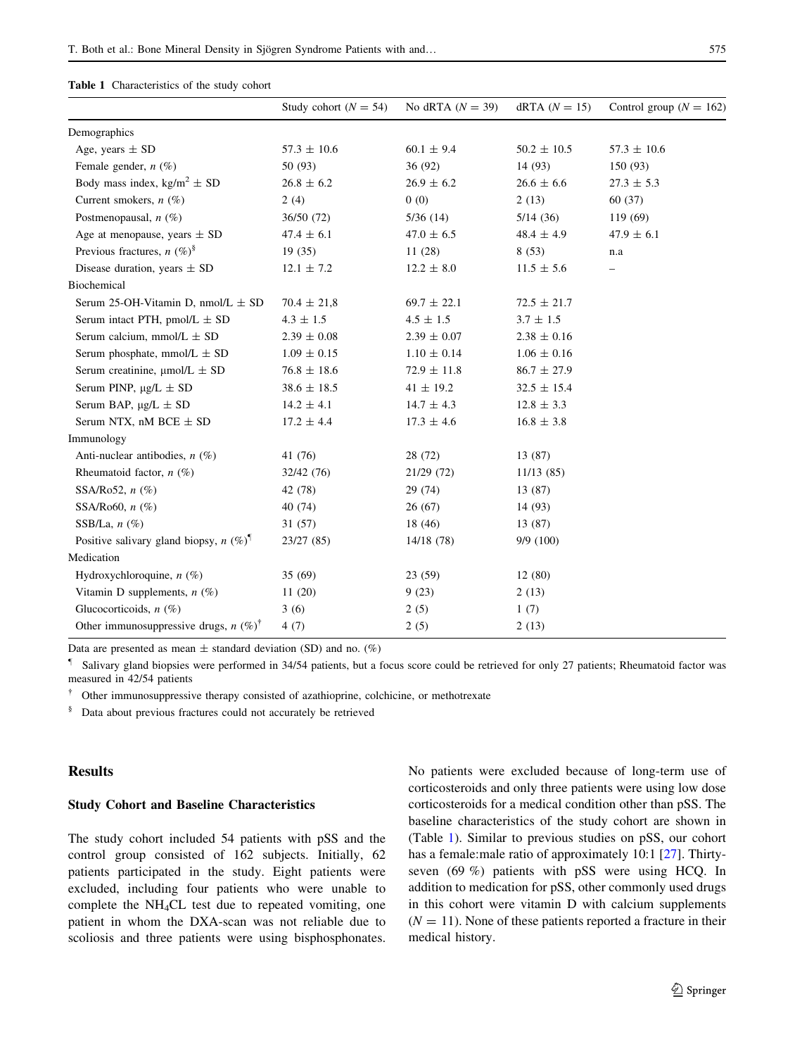# <span id="page-2-0"></span>Table 1 Characteristics of the study cohort

|                                                      | Study cohort ( $N = 54$ ) | No dRTA $(N = 39)$ | $dRTA (N = 15)$ | Control group ( $N = 162$ ) |
|------------------------------------------------------|---------------------------|--------------------|-----------------|-----------------------------|
| Demographics                                         |                           |                    |                 |                             |
| Age, years $\pm$ SD                                  | $57.3 \pm 10.6$           | $60.1 \pm 9.4$     | $50.2 \pm 10.5$ | $57.3 \pm 10.6$             |
| Female gender, $n$ (%)                               | 50 (93)                   | 36 (92)            | 14 (93)         | 150 (93)                    |
| Body mass index, kg/m <sup>2</sup> $\pm$ SD          | $26.8 \pm 6.2$            | $26.9 \pm 6.2$     | $26.6 \pm 6.6$  | $27.3 \pm 5.3$              |
| Current smokers, $n$ (%)                             | 2(4)                      | 0(0)               | 2(13)           | 60(37)                      |
| Postmenopausal, $n$ (%)                              | 36/50 (72)                | 5/36(14)           | 5/14(36)        | 119 (69)                    |
| Age at menopause, years $\pm$ SD                     | $47.4 \pm 6.1$            | $47.0 \pm 6.5$     | $48.4 \pm 4.9$  | $47.9 \pm 6.1$              |
| Previous fractures, $n (\%)^8$                       | 19(35)                    | 11(28)             | 8(53)           | n.a                         |
| Disease duration, years $\pm$ SD                     | $12.1 \pm 7.2$            | $12.2 \pm 8.0$     | $11.5 \pm 5.6$  | -                           |
| Biochemical                                          |                           |                    |                 |                             |
| Serum 25-OH-Vitamin D, nmol/L $\pm$ SD               | $70.4 \pm 21.8$           | $69.7 \pm 22.1$    | $72.5 \pm 21.7$ |                             |
| Serum intact PTH, pmol/L $\pm$ SD                    | $4.3 \pm 1.5$             | $4.5 \pm 1.5$      | $3.7 \pm 1.5$   |                             |
| Serum calcium, mmol/L $\pm$ SD                       | $2.39 \pm 0.08$           | $2.39 \pm 0.07$    | $2.38 \pm 0.16$ |                             |
| Serum phosphate, mmol/L $\pm$ SD                     | $1.09 \pm 0.15$           | $1.10 \pm 0.14$    | $1.06 \pm 0.16$ |                             |
| Serum creatinine, $\mu$ mol/L $\pm$ SD               | $76.8 \pm 18.6$           | $72.9 \pm 11.8$    | $86.7 \pm 27.9$ |                             |
| Serum PINP, $\mu$ g/L $\pm$ SD                       | $38.6 \pm 18.5$           | $41 \pm 19.2$      | $32.5 \pm 15.4$ |                             |
| Serum BAP, $\mu g/L \pm SD$                          | $14.2 \pm 4.1$            | $14.7 \pm 4.3$     | $12.8 \pm 3.3$  |                             |
| Serum NTX, nM BCE $\pm$ SD                           | $17.2 \pm 4.4$            | $17.3 \pm 4.6$     | $16.8 \pm 3.8$  |                             |
| Immunology                                           |                           |                    |                 |                             |
| Anti-nuclear antibodies, $n$ (%)                     | 41 (76)                   | 28 (72)            | 13 (87)         |                             |
| Rheumatoid factor, $n$ (%)                           | 32/42 (76)                | 21/29 (72)         | 11/13(85)       |                             |
| SSA/Ro52, $n$ (%)                                    | 42 (78)                   | 29(74)             | 13 (87)         |                             |
| SSA/Ro60, $n$ (%)                                    | 40 (74)                   | 26(67)             | 14 (93)         |                             |
| SSB/La, $n$ (%)                                      | 31(57)                    | 18 (46)            | 13 (87)         |                             |
| Positive salivary gland biopsy, $n$ (%) <sup>1</sup> | 23/27 (85)                | 14/18 (78)         | 9/9(100)        |                             |
| Medication                                           |                           |                    |                 |                             |
| Hydroxychloroquine, $n$ (%)                          | 35(69)                    | 23(59)             | 12(80)          |                             |
| Vitamin D supplements, $n$ (%)                       | 11(20)                    | 9(23)              | 2(13)           |                             |
| Glucocorticoids, $n$ (%)                             | 3(6)                      | 2(5)               | 1(7)            |                             |
| Other immunosuppressive drugs, $n$ (%) <sup>†</sup>  | 4(7)                      | 2(5)               | 2(13)           |                             |

Data are presented as mean  $\pm$  standard deviation (SD) and no. (%)

} Salivary gland biopsies were performed in 34/54 patients, but a focus score could be retrieved for only 27 patients; Rheumatoid factor was measured in 42/54 patients

 $^\dagger$ Other immunosuppressive therapy consisted of azathioprine, colchicine, or methotrexate

§ Data about previous fractures could not accurately be retrieved

# Results

### Study Cohort and Baseline Characteristics

The study cohort included 54 patients with pSS and the control group consisted of 162 subjects. Initially, 62 patients participated in the study. Eight patients were excluded, including four patients who were unable to complete the NH4CL test due to repeated vomiting, one patient in whom the DXA-scan was not reliable due to scoliosis and three patients were using bisphosphonates.

No patients were excluded because of long-term use of corticosteroids and only three patients were using low dose corticosteroids for a medical condition other than pSS. The baseline characteristics of the study cohort are shown in (Table 1). Similar to previous studies on pSS, our cohort has a female: male ratio of approximately 10:1 [\[27](#page-5-0)]. Thirtyseven (69 %) patients with pSS were using HCQ. In addition to medication for pSS, other commonly used drugs in this cohort were vitamin D with calcium supplements  $(N = 11)$ . None of these patients reported a fracture in their medical history.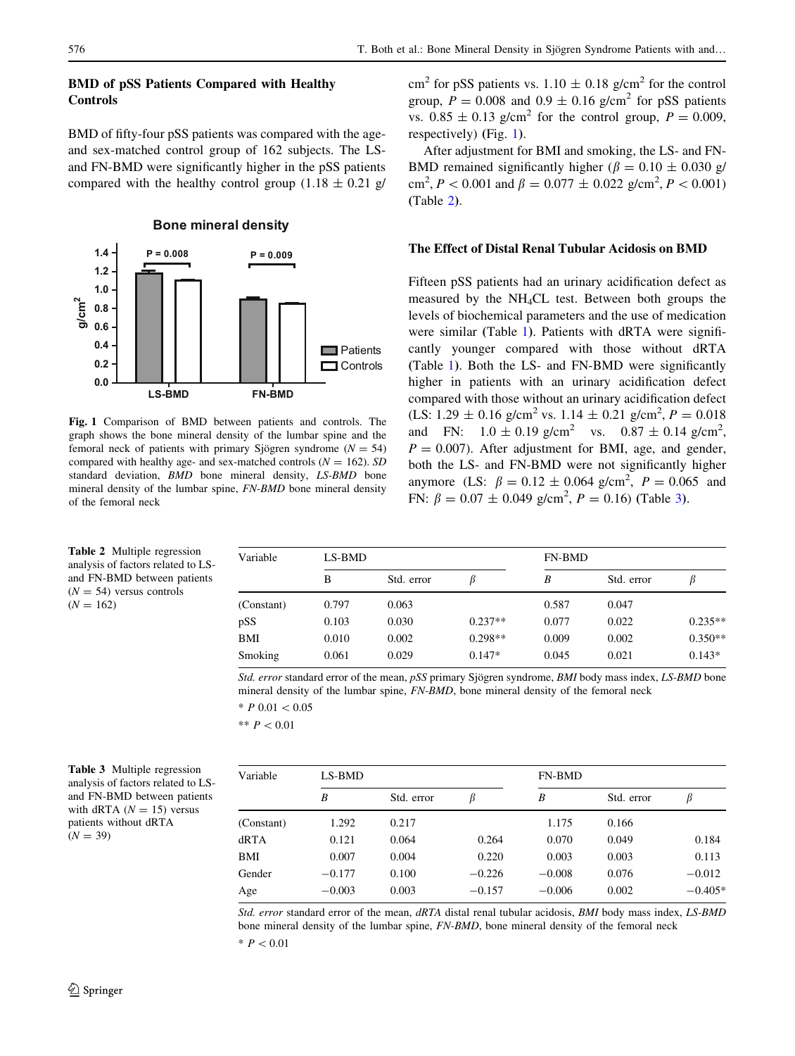# BMD of pSS Patients Compared with Healthy Controls

BMD of fifty-four pSS patients was compared with the ageand sex-matched control group of 162 subjects. The LSand FN-BMD were significantly higher in the pSS patients compared with the healthy control group  $(1.18 \pm 0.21 \text{ g/m})$ 



Fig. 1 Comparison of BMD between patients and controls. The graph shows the bone mineral density of the lumbar spine and the femoral neck of patients with primary Sjögren syndrome ( $N = 54$ ) compared with healthy age- and sex-matched controls  $(N = 162)$ . SD standard deviation, BMD bone mineral density, LS-BMD bone mineral density of the lumbar spine, FN-BMD bone mineral density of the femoral neck

cm<sup>2</sup> for pSS patients vs.  $1.10 \pm 0.18$  g/cm<sup>2</sup> for the control group,  $P = 0.008$  and  $0.9 \pm 0.16$  g/cm<sup>2</sup> for pSS patients vs.  $0.85 \pm 0.13$  g/cm<sup>2</sup> for the control group,  $P = 0.009$ , respectively) (Fig. 1).

After adjustment for BMI and smoking, the LS- and FN-BMD remained significantly higher ( $\beta = 0.10 \pm 0.030$  g/ cm<sup>2</sup>,  $P < 0.001$  and  $\beta = 0.077 \pm 0.022$  g/cm<sup>2</sup>,  $P < 0.001$ ) (Table 2).

# The Effect of Distal Renal Tubular Acidosis on BMD

Fifteen pSS patients had an urinary acidification defect as measured by the  $NH<sub>4</sub>CL$  test. Between both groups the levels of biochemical parameters and the use of medication were similar (Table [1](#page-2-0)). Patients with dRTA were significantly younger compared with those without dRTA (Table [1](#page-2-0)). Both the LS- and FN-BMD were significantly higher in patients with an urinary acidification defect compared with those without an urinary acidification defect (LS: 1.29  $\pm$  0.16 g/cm<sup>2</sup> vs. 1.14  $\pm$  0.21 g/cm<sup>2</sup>,  $P = 0.018$ and FN:  $1.0 \pm 0.19$  g/cm<sup>2</sup> vs.  $0.87 \pm 0.14$  g/cm<sup>2</sup>,  $P = 0.007$ ). After adjustment for BMI, age, and gender, both the LS- and FN-BMD were not significantly higher anymore (LS:  $\beta = 0.12 \pm 0.064$  g/cm<sup>2</sup>,  $P = 0.065$  and FN:  $\beta = 0.07 \pm 0.049$  g/cm<sup>2</sup>,  $P = 0.16$ ) (Table 3).

| Variable   | LS-BMD |            |           |       | <b>FN-BMD</b> |           |  |
|------------|--------|------------|-----------|-------|---------------|-----------|--|
|            | B      | Std. error |           | B     | Std. error    | B         |  |
| (Constant) | 0.797  | 0.063      |           | 0.587 | 0.047         |           |  |
| pSS        | 0.103  | 0.030      | $0.237**$ | 0.077 | 0.022         | $0.235**$ |  |
| BMI        | 0.010  | 0.002      | $0.298**$ | 0.009 | 0.002         | $0.350**$ |  |
| Smoking    | 0.061  | 0.029      | $0.147*$  | 0.045 | 0.021         | $0.143*$  |  |

Std. error standard error of the mean, pSS primary Sjögren syndrome, BMI body mass index, LS-BMD bone mineral density of the lumbar spine, FN-BMD, bone mineral density of the femoral neck

 $*$  P 0.01  $<$  0.05 \*\*  $P < 0.01$ 

Table 3 Multiple regression analysis of factors related to LSand FN-BMD between patients with dRTA  $(N = 15)$  versus patients without dRTA  $(N = 39)$ 

Table 2 Multiple regression analysis of factors related to LSand FN-BMD between patients  $(N = 54)$  versus controls

 $(N = 162)$ 

| Variable   | LS-BMD   |            |          | <b>FN-BMD</b> |            |           |
|------------|----------|------------|----------|---------------|------------|-----------|
|            | B        | Std. error |          | B             | Std. error | β         |
| (Constant) | 1.292    | 0.217      |          | 1.175         | 0.166      |           |
| dRTA       | 0.121    | 0.064      | 0.264    | 0.070         | 0.049      | 0.184     |
| BMI        | 0.007    | 0.004      | 0.220    | 0.003         | 0.003      | 0.113     |
| Gender     | $-0.177$ | 0.100      | $-0.226$ | $-0.008$      | 0.076      | $-0.012$  |
| Age        | $-0.003$ | 0.003      | $-0.157$ | $-0.006$      | 0.002      | $-0.405*$ |

Std. error standard error of the mean, dRTA distal renal tubular acidosis, BMI body mass index, LS-BMD bone mineral density of the lumbar spine, FN-BMD, bone mineral density of the femoral neck  $* P < 0.01$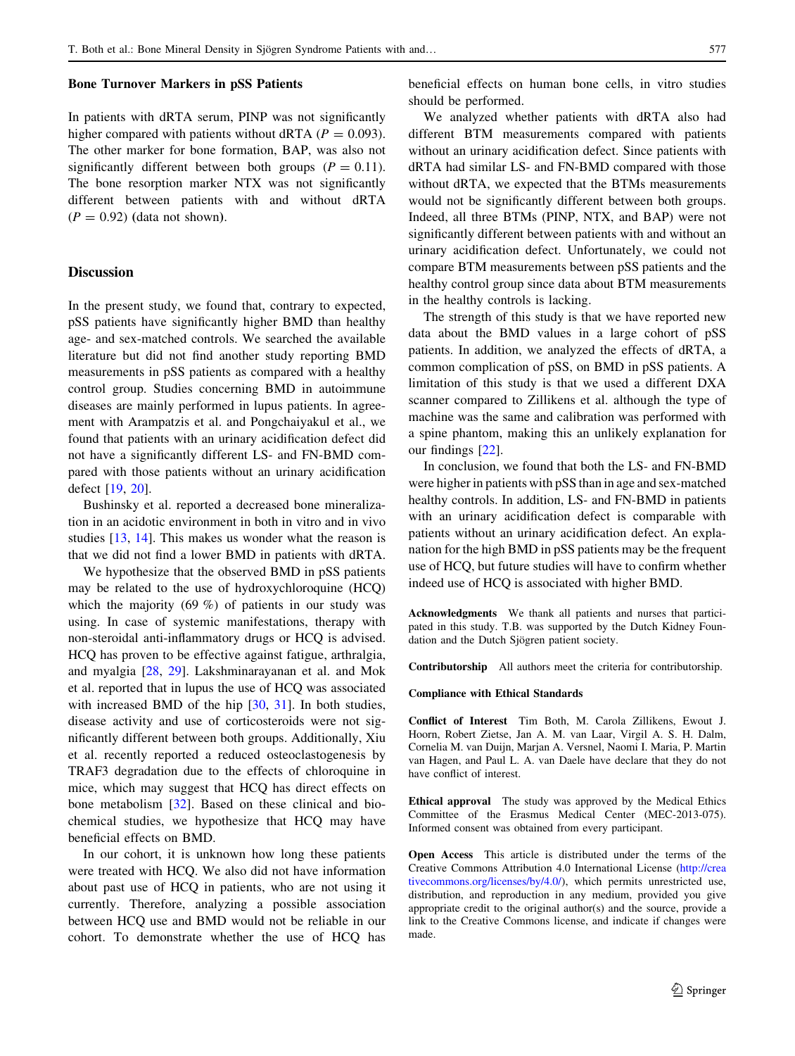### Bone Turnover Markers in pSS Patients

In patients with dRTA serum, PINP was not significantly higher compared with patients without dRTA ( $P = 0.093$ ). The other marker for bone formation, BAP, was also not significantly different between both groups ( $P = 0.11$ ). The bone resorption marker NTX was not significantly different between patients with and without dRTA  $(P = 0.92)$  (data not shown).

# Discussion

In the present study, we found that, contrary to expected, pSS patients have significantly higher BMD than healthy age- and sex-matched controls. We searched the available literature but did not find another study reporting BMD measurements in pSS patients as compared with a healthy control group. Studies concerning BMD in autoimmune diseases are mainly performed in lupus patients. In agreement with Arampatzis et al. and Pongchaiyakul et al., we found that patients with an urinary acidification defect did not have a significantly different LS- and FN-BMD compared with those patients without an urinary acidification defect [\[19](#page-5-0), [20\]](#page-5-0).

Bushinsky et al. reported a decreased bone mineralization in an acidotic environment in both in vitro and in vivo studies [\[13](#page-5-0), [14](#page-5-0)]. This makes us wonder what the reason is that we did not find a lower BMD in patients with dRTA.

We hypothesize that the observed BMD in pSS patients may be related to the use of hydroxychloroquine (HCQ) which the majority  $(69\%)$  of patients in our study was using. In case of systemic manifestations, therapy with non-steroidal anti-inflammatory drugs or HCQ is advised. HCQ has proven to be effective against fatigue, arthralgia, and myalgia [\[28](#page-5-0), [29](#page-5-0)]. Lakshminarayanan et al. and Mok et al. reported that in lupus the use of HCQ was associated with increased BMD of the hip [\[30](#page-6-0), [31](#page-6-0)]. In both studies, disease activity and use of corticosteroids were not significantly different between both groups. Additionally, Xiu et al. recently reported a reduced osteoclastogenesis by TRAF3 degradation due to the effects of chloroquine in mice, which may suggest that HCQ has direct effects on bone metabolism [[32\]](#page-6-0). Based on these clinical and biochemical studies, we hypothesize that HCQ may have beneficial effects on BMD.

In our cohort, it is unknown how long these patients were treated with HCQ. We also did not have information about past use of HCQ in patients, who are not using it currently. Therefore, analyzing a possible association between HCQ use and BMD would not be reliable in our cohort. To demonstrate whether the use of HCQ has beneficial effects on human bone cells, in vitro studies should be performed.

We analyzed whether patients with dRTA also had different BTM measurements compared with patients without an urinary acidification defect. Since patients with dRTA had similar LS- and FN-BMD compared with those without dRTA, we expected that the BTMs measurements would not be significantly different between both groups. Indeed, all three BTMs (PINP, NTX, and BAP) were not significantly different between patients with and without an urinary acidification defect. Unfortunately, we could not compare BTM measurements between pSS patients and the healthy control group since data about BTM measurements in the healthy controls is lacking.

The strength of this study is that we have reported new data about the BMD values in a large cohort of pSS patients. In addition, we analyzed the effects of dRTA, a common complication of pSS, on BMD in pSS patients. A limitation of this study is that we used a different DXA scanner compared to Zillikens et al. although the type of machine was the same and calibration was performed with a spine phantom, making this an unlikely explanation for our findings [[22\]](#page-5-0).

In conclusion, we found that both the LS- and FN-BMD were higher in patients with pSS than in age and sex-matched healthy controls. In addition, LS- and FN-BMD in patients with an urinary acidification defect is comparable with patients without an urinary acidification defect. An explanation for the high BMD in pSS patients may be the frequent use of HCQ, but future studies will have to confirm whether indeed use of HCQ is associated with higher BMD.

Acknowledgments We thank all patients and nurses that participated in this study. T.B. was supported by the Dutch Kidney Foundation and the Dutch Sjögren patient society.

Contributorship All authors meet the criteria for contributorship.

#### Compliance with Ethical Standards

Conflict of Interest Tim Both, M. Carola Zillikens, Ewout J. Hoorn, Robert Zietse, Jan A. M. van Laar, Virgil A. S. H. Dalm, Cornelia M. van Duijn, Marjan A. Versnel, Naomi I. Maria, P. Martin van Hagen, and Paul L. A. van Daele have declare that they do not have conflict of interest.

Ethical approval The study was approved by the Medical Ethics Committee of the Erasmus Medical Center (MEC-2013-075). Informed consent was obtained from every participant.

Open Access This article is distributed under the terms of the Creative Commons Attribution 4.0 International License ([http://crea](http://creativecommons.org/licenses/by/4.0/) [tivecommons.org/licenses/by/4.0/\)](http://creativecommons.org/licenses/by/4.0/), which permits unrestricted use, distribution, and reproduction in any medium, provided you give appropriate credit to the original author(s) and the source, provide a link to the Creative Commons license, and indicate if changes were made.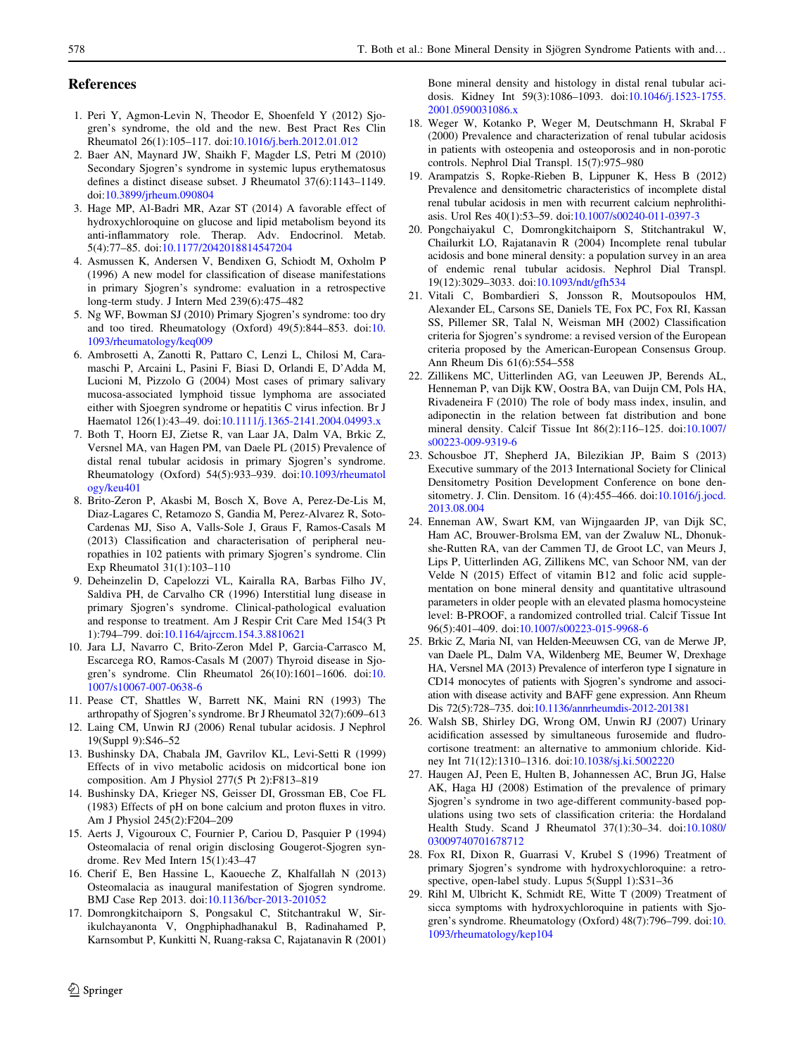### <span id="page-5-0"></span>References

- 1. Peri Y, Agmon-Levin N, Theodor E, Shoenfeld Y (2012) Sjogren's syndrome, the old and the new. Best Pract Res Clin Rheumatol 26(1):105–117. doi[:10.1016/j.berh.2012.01.012](http://dx.doi.org/10.1016/j.berh.2012.01.012)
- 2. Baer AN, Maynard JW, Shaikh F, Magder LS, Petri M (2010) Secondary Sjogren's syndrome in systemic lupus erythematosus defines a distinct disease subset. J Rheumatol 37(6):1143–1149. doi:[10.3899/jrheum.090804](http://dx.doi.org/10.3899/jrheum.090804)
- 3. Hage MP, Al-Badri MR, Azar ST (2014) A favorable effect of hydroxychloroquine on glucose and lipid metabolism beyond its anti-inflammatory role. Therap. Adv. Endocrinol. Metab. 5(4):77–85. doi[:10.1177/2042018814547204](http://dx.doi.org/10.1177/2042018814547204)
- 4. Asmussen K, Andersen V, Bendixen G, Schiodt M, Oxholm P (1996) A new model for classification of disease manifestations in primary Sjogren's syndrome: evaluation in a retrospective long-term study. J Intern Med 239(6):475–482
- 5. Ng WF, Bowman SJ (2010) Primary Sjogren's syndrome: too dry and too tired. Rheumatology (Oxford) 49(5):844–853. doi:[10.](http://dx.doi.org/10.1093/rheumatology/keq009) [1093/rheumatology/keq009](http://dx.doi.org/10.1093/rheumatology/keq009)
- 6. Ambrosetti A, Zanotti R, Pattaro C, Lenzi L, Chilosi M, Caramaschi P, Arcaini L, Pasini F, Biasi D, Orlandi E, D'Adda M, Lucioni M, Pizzolo G (2004) Most cases of primary salivary mucosa-associated lymphoid tissue lymphoma are associated either with Sjoegren syndrome or hepatitis C virus infection. Br J Haematol 126(1):43–49. doi:[10.1111/j.1365-2141.2004.04993.x](http://dx.doi.org/10.1111/j.1365-2141.2004.04993.x)
- 7. Both T, Hoorn EJ, Zietse R, van Laar JA, Dalm VA, Brkic Z, Versnel MA, van Hagen PM, van Daele PL (2015) Prevalence of distal renal tubular acidosis in primary Sjogren's syndrome. Rheumatology (Oxford) 54(5):933–939. doi:[10.1093/rheumatol](http://dx.doi.org/10.1093/rheumatology/keu401) [ogy/keu401](http://dx.doi.org/10.1093/rheumatology/keu401)
- 8. Brito-Zeron P, Akasbi M, Bosch X, Bove A, Perez-De-Lis M, Diaz-Lagares C, Retamozo S, Gandia M, Perez-Alvarez R, Soto-Cardenas MJ, Siso A, Valls-Sole J, Graus F, Ramos-Casals M (2013) Classification and characterisation of peripheral neuropathies in 102 patients with primary Sjogren's syndrome. Clin Exp Rheumatol 31(1):103–110
- 9. Deheinzelin D, Capelozzi VL, Kairalla RA, Barbas Filho JV, Saldiva PH, de Carvalho CR (1996) Interstitial lung disease in primary Sjogren's syndrome. Clinical-pathological evaluation and response to treatment. Am J Respir Crit Care Med 154(3 Pt 1):794–799. doi:[10.1164/ajrccm.154.3.8810621](http://dx.doi.org/10.1164/ajrccm.154.3.8810621)
- 10. Jara LJ, Navarro C, Brito-Zeron Mdel P, Garcia-Carrasco M, Escarcega RO, Ramos-Casals M (2007) Thyroid disease in Sjogren's syndrome. Clin Rheumatol 26(10):1601–1606. doi:[10.](http://dx.doi.org/10.1007/s10067-007-0638-6) [1007/s10067-007-0638-6](http://dx.doi.org/10.1007/s10067-007-0638-6)
- 11. Pease CT, Shattles W, Barrett NK, Maini RN (1993) The arthropathy of Sjogren's syndrome. Br J Rheumatol 32(7):609–613
- 12. Laing CM, Unwin RJ (2006) Renal tubular acidosis. J Nephrol 19(Suppl 9):S46–52
- 13. Bushinsky DA, Chabala JM, Gavrilov KL, Levi-Setti R (1999) Effects of in vivo metabolic acidosis on midcortical bone ion composition. Am J Physiol 277(5 Pt 2):F813–819
- 14. Bushinsky DA, Krieger NS, Geisser DI, Grossman EB, Coe FL (1983) Effects of pH on bone calcium and proton fluxes in vitro. Am J Physiol 245(2):F204–209
- 15. Aerts J, Vigouroux C, Fournier P, Cariou D, Pasquier P (1994) Osteomalacia of renal origin disclosing Gougerot-Sjogren syndrome. Rev Med Intern 15(1):43–47
- 16. Cherif E, Ben Hassine L, Kaoueche Z, Khalfallah N (2013) Osteomalacia as inaugural manifestation of Sjogren syndrome. BMJ Case Rep 2013. doi:[10.1136/bcr-2013-201052](http://dx.doi.org/10.1136/bcr-2013-201052)
- 17. Domrongkitchaiporn S, Pongsakul C, Stitchantrakul W, Sirikulchayanonta V, Ongphiphadhanakul B, Radinahamed P, Karnsombut P, Kunkitti N, Ruang-raksa C, Rajatanavin R (2001)

Bone mineral density and histology in distal renal tubular acidosis. Kidney Int 59(3):1086–1093. doi[:10.1046/j.1523-1755.](http://dx.doi.org/10.1046/j.1523-1755.2001.0590031086.x) [2001.0590031086.x](http://dx.doi.org/10.1046/j.1523-1755.2001.0590031086.x)

- 18. Weger W, Kotanko P, Weger M, Deutschmann H, Skrabal F (2000) Prevalence and characterization of renal tubular acidosis in patients with osteopenia and osteoporosis and in non-porotic controls. Nephrol Dial Transpl. 15(7):975–980
- 19. Arampatzis S, Ropke-Rieben B, Lippuner K, Hess B (2012) Prevalence and densitometric characteristics of incomplete distal renal tubular acidosis in men with recurrent calcium nephrolithiasis. Urol Res 40(1):53–59. doi[:10.1007/s00240-011-0397-3](http://dx.doi.org/10.1007/s00240-011-0397-3)
- 20. Pongchaiyakul C, Domrongkitchaiporn S, Stitchantrakul W, Chailurkit LO, Rajatanavin R (2004) Incomplete renal tubular acidosis and bone mineral density: a population survey in an area of endemic renal tubular acidosis. Nephrol Dial Transpl. 19(12):3029–3033. doi:[10.1093/ndt/gfh534](http://dx.doi.org/10.1093/ndt/gfh534)
- 21. Vitali C, Bombardieri S, Jonsson R, Moutsopoulos HM, Alexander EL, Carsons SE, Daniels TE, Fox PC, Fox RI, Kassan SS, Pillemer SR, Talal N, Weisman MH (2002) Classification criteria for Sjogren's syndrome: a revised version of the European criteria proposed by the American-European Consensus Group. Ann Rheum Dis 61(6):554–558
- 22. Zillikens MC, Uitterlinden AG, van Leeuwen JP, Berends AL, Henneman P, van Dijk KW, Oostra BA, van Duijn CM, Pols HA, Rivadeneira F (2010) The role of body mass index, insulin, and adiponectin in the relation between fat distribution and bone mineral density. Calcif Tissue Int 86(2):116–125. doi[:10.1007/](http://dx.doi.org/10.1007/s00223-009-9319-6) [s00223-009-9319-6](http://dx.doi.org/10.1007/s00223-009-9319-6)
- 23. Schousboe JT, Shepherd JA, Bilezikian JP, Baim S (2013) Executive summary of the 2013 International Society for Clinical Densitometry Position Development Conference on bone densitometry. J. Clin. Densitom. 16 (4):455–466. doi[:10.1016/j.jocd.](http://dx.doi.org/10.1016/j.jocd.2013.08.004) [2013.08.004](http://dx.doi.org/10.1016/j.jocd.2013.08.004)
- 24. Enneman AW, Swart KM, van Wijngaarden JP, van Dijk SC, Ham AC, Brouwer-Brolsma EM, van der Zwaluw NL, Dhonukshe-Rutten RA, van der Cammen TJ, de Groot LC, van Meurs J, Lips P, Uitterlinden AG, Zillikens MC, van Schoor NM, van der Velde N (2015) Effect of vitamin B12 and folic acid supplementation on bone mineral density and quantitative ultrasound parameters in older people with an elevated plasma homocysteine level: B-PROOF, a randomized controlled trial. Calcif Tissue Int 96(5):401–409. doi[:10.1007/s00223-015-9968-6](http://dx.doi.org/10.1007/s00223-015-9968-6)
- 25. Brkic Z, Maria NI, van Helden-Meeuwsen CG, van de Merwe JP, van Daele PL, Dalm VA, Wildenberg ME, Beumer W, Drexhage HA, Versnel MA (2013) Prevalence of interferon type I signature in CD14 monocytes of patients with Sjogren's syndrome and association with disease activity and BAFF gene expression. Ann Rheum Dis 72(5):728–735. doi[:10.1136/annrheumdis-2012-201381](http://dx.doi.org/10.1136/annrheumdis-2012-201381)
- 26. Walsh SB, Shirley DG, Wrong OM, Unwin RJ (2007) Urinary acidification assessed by simultaneous furosemide and fludrocortisone treatment: an alternative to ammonium chloride. Kidney Int 71(12):1310–1316. doi[:10.1038/sj.ki.5002220](http://dx.doi.org/10.1038/sj.ki.5002220)
- 27. Haugen AJ, Peen E, Hulten B, Johannessen AC, Brun JG, Halse AK, Haga HJ (2008) Estimation of the prevalence of primary Sjogren's syndrome in two age-different community-based populations using two sets of classification criteria: the Hordaland Health Study. Scand J Rheumatol 37(1):30–34. doi[:10.1080/](http://dx.doi.org/10.1080/03009740701678712) [03009740701678712](http://dx.doi.org/10.1080/03009740701678712)
- 28. Fox RI, Dixon R, Guarrasi V, Krubel S (1996) Treatment of primary Sjogren's syndrome with hydroxychloroquine: a retrospective, open-label study. Lupus 5(Suppl 1):S31–36
- 29. Rihl M, Ulbricht K, Schmidt RE, Witte T (2009) Treatment of sicca symptoms with hydroxychloroquine in patients with Sjogren's syndrome. Rheumatology (Oxford) 48(7):796–799. doi:[10.](http://dx.doi.org/10.1093/rheumatology/kep104) [1093/rheumatology/kep104](http://dx.doi.org/10.1093/rheumatology/kep104)